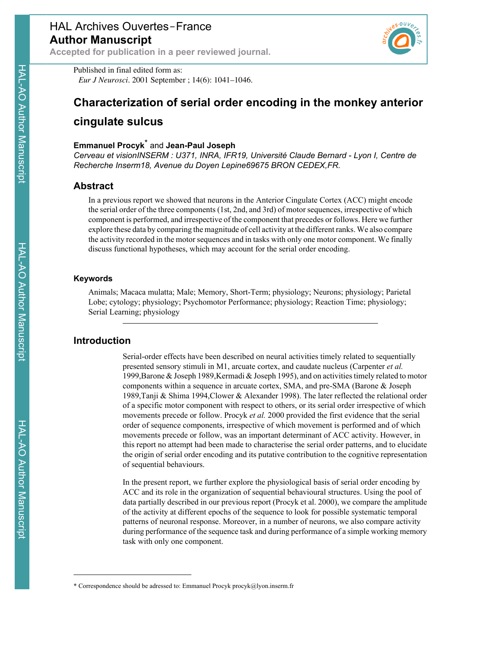

Published in final edited form as: *Eur J Neurosci*. 2001 September ; 14(6): 1041–1046.

# **Characterization of serial order encoding in the monkey anterior**

# **cingulate sulcus**

## **Emmanuel Procyk**\* and **Jean-Paul Joseph**

*Cerveau et visionINSERM : U371, INRA, IFR19, Université Claude Bernard - Lyon I, Centre de Recherche Inserm18, Avenue du Doyen Lepine69675 BRON CEDEX,FR.*

# **Abstract**

In a previous report we showed that neurons in the Anterior Cingulate Cortex (ACC) might encode the serial order of the three components (1st, 2nd, and 3rd) of motor sequences, irrespective of which component is performed, and irrespective of the component that precedes or follows. Here we further explore these data by comparing the magnitude of cell activity at the different ranks. We also compare the activity recorded in the motor sequences and in tasks with only one motor component. We finally discuss functional hypotheses, which may account for the serial order encoding.

### **Keywords**

Animals; Macaca mulatta; Male; Memory, Short-Term; physiology; Neurons; physiology; Parietal Lobe; cytology; physiology; Psychomotor Performance; physiology; Reaction Time; physiology; Serial Learning; physiology

# **Introduction**

Serial-order effects have been described on neural activities timely related to sequentially presented sensory stimuli in M1, arcuate cortex, and caudate nucleus (Carpenter *et al.* 1999,Barone & Joseph 1989,Kermadi & Joseph 1995), and on activities timely related to motor components within a sequence in arcuate cortex, SMA, and pre-SMA (Barone & Joseph 1989,Tanji & Shima 1994,Clower & Alexander 1998). The later reflected the relational order of a specific motor component with respect to others, or its serial order irrespective of which movements precede or follow. Procyk *et al.* 2000 provided the first evidence that the serial order of sequence components, irrespective of which movement is performed and of which movements precede or follow, was an important determinant of ACC activity. However, in this report no attempt had been made to characterise the serial order patterns, and to elucidate the origin of serial order encoding and its putative contribution to the cognitive representation of sequential behaviours.

In the present report, we further explore the physiological basis of serial order encoding by ACC and its role in the organization of sequential behavioural structures. Using the pool of data partially described in our previous report (Procyk et al. 2000), we compare the amplitude of the activity at different epochs of the sequence to look for possible systematic temporal patterns of neuronal response. Moreover, in a number of neurons, we also compare activity during performance of the sequence task and during performance of a simple working memory task with only one component.

<sup>\*</sup> Correspondence should be adressed to: Emmanuel Procyk procyk@lyon.inserm.fr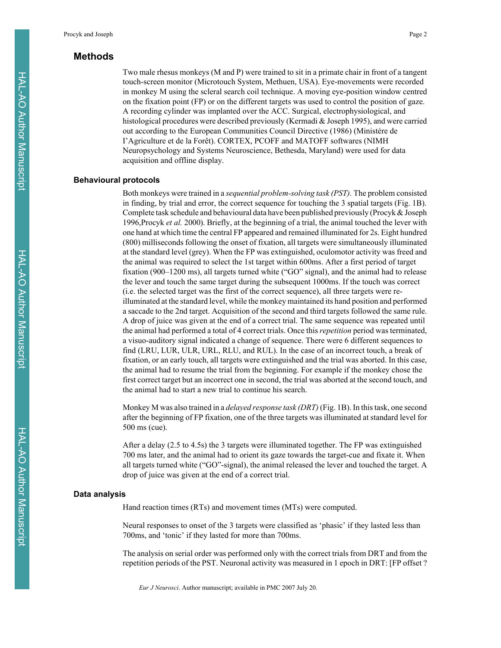# **Methods**

Two male rhesus monkeys (M and P) were trained to sit in a primate chair in front of a tangent touch-screen monitor (Microtouch System, Methuen, USA). Eye-movements were recorded in monkey M using the scleral search coil technique. A moving eye-position window centred on the fixation point (FP) or on the different targets was used to control the position of gaze. A recording cylinder was implanted over the ACC. Surgical, electrophysiological, and histological procedures were described previously (Kermadi & Joseph 1995), and were carried out according to the European Communities Council Directive (1986) (Ministére de I'Agriculture et de la Forêt). CORTEX, PCOFF and MATOFF softwares (NIMH Neuropsychology and Systems Neuroscience, Bethesda, Maryland) were used for data acquisition and offline display.

#### **Behavioural protocols**

Both monkeys were trained in a *sequential problem-solving task (PST).* The problem consisted in finding, by trial and error, the correct sequence for touching the 3 spatial targets (Fig. 1B). Complete task schedule and behavioural data have been published previously (Procyk & Joseph 1996,Procyk *et al.* 2000). Briefly, at the beginning of a trial, the animal touched the lever with one hand at which time the central FP appeared and remained illuminated for 2s. Eight hundred (800) milliseconds following the onset of fixation, all targets were simultaneously illuminated at the standard level (grey). When the FP was extinguished, oculomotor activity was freed and the animal was required to select the 1st target within 600ms. After a first period of target fixation (900–1200 ms), all targets turned white ("GO" signal), and the animal had to release the lever and touch the same target during the subsequent 1000ms. If the touch was correct (i.e. the selected target was the first of the correct sequence), all three targets were reilluminated at the standard level, while the monkey maintained its hand position and performed a saccade to the 2nd target. Acquisition of the second and third targets followed the same rule. A drop of juice was given at the end of a correct trial. The same sequence was repeated until the animal had performed a total of 4 correct trials. Once this *repetition* period was terminated, a visuo-auditory signal indicated a change of sequence. There were 6 different sequences to find (LRU, LUR, ULR, URL, RLU, and RUL). In the case of an incorrect touch, a break of fixation, or an early touch, all targets were extinguished and the trial was aborted. In this case, the animal had to resume the trial from the beginning. For example if the monkey chose the first correct target but an incorrect one in second, the trial was aborted at the second touch, and the animal had to start a new trial to continue his search.

Monkey M was also trained in a *delayed response task (DRT)* (Fig. 1B). In this task, one second after the beginning of FP fixation, one of the three targets was illuminated at standard level for 500 ms (cue).

After a delay (2.5 to 4.5s) the 3 targets were illuminated together. The FP was extinguished 700 ms later, and the animal had to orient its gaze towards the target-cue and fixate it. When all targets turned white ("GO"-signal), the animal released the lever and touched the target. A drop of juice was given at the end of a correct trial.

#### **Data analysis**

Hand reaction times (RTs) and movement times (MTs) were computed.

Neural responses to onset of the 3 targets were classified as 'phasic' if they lasted less than 700ms, and 'tonic' if they lasted for more than 700ms.

The analysis on serial order was performed only with the correct trials from DRT and from the repetition periods of the PST. Neuronal activity was measured in 1 epoch in DRT: [FP offset ?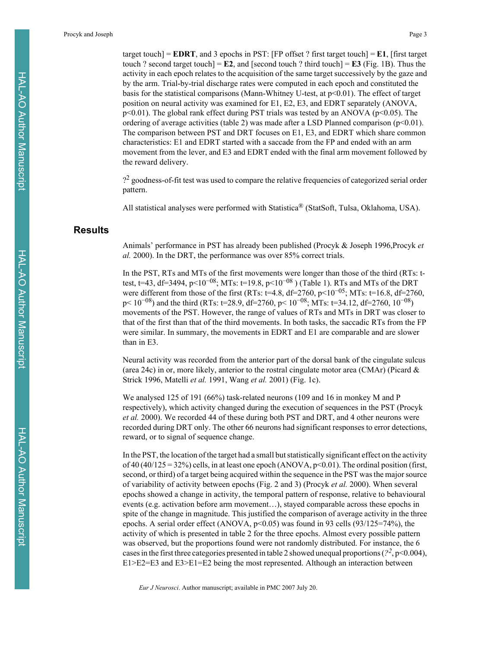target touch]  $=$  **EDRT**, and 3 epochs in PST: [FP offset ? first target touch]  $=$  **E1**, [first target touch ? second target touch $] = \mathbb{E}2$ , and  $[second touch ? third touch] = \mathbb{E}3$  (Fig. 1B). Thus the activity in each epoch relates to the acquisition of the same target successively by the gaze and by the arm. Trial-by-trial discharge rates were computed in each epoch and constituted the basis for the statistical comparisons (Mann-Whitney U-test, at p<0.01). The effect of target position on neural activity was examined for E1, E2, E3, and EDRT separately (ANOVA,  $p<0.01$ ). The global rank effect during PST trials was tested by an ANOVA ( $p<0.05$ ). The ordering of average activities (table 2) was made after a LSD Planned comparison ( $p<0.01$ ). The comparison between PST and DRT focuses on E1, E3, and EDRT which share common characteristics: E1 and EDRT started with a saccade from the FP and ended with an arm movement from the lever, and E3 and EDRT ended with the final arm movement followed by the reward delivery.

?2 goodness-of-fit test was used to compare the relative frequencies of categorized serial order pattern.

All statistical analyses were performed with Statistica® (StatSoft, Tulsa, Oklahoma, USA).

# **Results**

Animals' performance in PST has already been published (Procyk & Joseph 1996,Procyk *et al.* 2000). In the DRT, the performance was over 85% correct trials.

In the PST, RTs and MTs of the first movements were longer than those of the third (RTs: ttest, t=43, df=3494, p<10<sup>-08</sup>; MTs: t=19.8, p<10<sup>-08</sup>) (Table 1). RTs and MTs of the DRT were different from those of the first (RTs: t=4.8,  $df=2760$ ,  $p<10^{-05}$ ; MTs: t=16.8,  $df=2760$ ,  $p < 10^{-08}$ ) and the third (RTs: t=28.9, df=2760,  $p < 10^{-08}$ ; MTs: t=34.12, df=2760,  $10^{-08}$ ) movements of the PST. However, the range of values of RTs and MTs in DRT was closer to that of the first than that of the third movements. In both tasks, the saccadic RTs from the FP were similar. In summary, the movements in EDRT and E1 are comparable and are slower than in E3.

Neural activity was recorded from the anterior part of the dorsal bank of the cingulate sulcus (area 24c) in or, more likely, anterior to the rostral cingulate motor area (CMAr) (Picard  $\&$ Strick 1996, Matelli *et al.* 1991, Wang *et al.* 2001) (Fig. 1c).

We analysed 125 of 191 (66%) task-related neurons (109 and 16 in monkey M and P respectively), which activity changed during the execution of sequences in the PST (Procyk *et al.* 2000). We recorded 44 of these during both PST and DRT, and 4 other neurons were recorded during DRT only. The other 66 neurons had significant responses to error detections, reward, or to signal of sequence change.

In the PST, the location of the target had a small but statistically significant effect on the activity of 40 (40/125 = 32%) cells, in at least one epoch (ANOVA,  $p<0.01$ ). The ordinal position (first, second, or third) of a target being acquired within the sequence in the PST was the major source of variability of activity between epochs (Fig. 2 and 3) (Procyk *et al.* 2000). When several epochs showed a change in activity, the temporal pattern of response, relative to behavioural events (e.g. activation before arm movement…), stayed comparable across these epochs in spite of the change in magnitude. This justified the comparison of average activity in the three epochs. A serial order effect (ANOVA, p<0.05) was found in 93 cells (93/125=74%), the activity of which is presented in table 2 for the three epochs. Almost every possible pattern was observed, but the proportions found were not randomly distributed. For instance, the 6 cases in the first three categories presented in table 2 showed unequal proportions ( $\frac{2}{7}$ , p<0.004), E1>E2=E3 and E3>E1=E2 being the most represented. Although an interaction between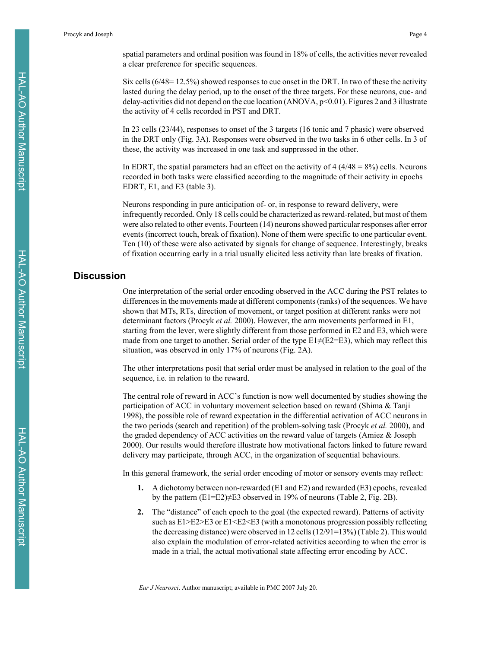spatial parameters and ordinal position was found in 18% of cells, the activities never revealed a clear preference for specific sequences.

Six cells (6/48= 12.5%) showed responses to cue onset in the DRT. In two of these the activity lasted during the delay period, up to the onset of the three targets. For these neurons, cue- and delay-activities did not depend on the cue location (ANOVA,  $p<0.01$ ). Figures 2 and 3 illustrate the activity of 4 cells recorded in PST and DRT.

In 23 cells (23/44), responses to onset of the 3 targets (16 tonic and 7 phasic) were observed in the DRT only (Fig. 3A). Responses were observed in the two tasks in 6 other cells. In 3 of these, the activity was increased in one task and suppressed in the other.

In EDRT, the spatial parameters had an effect on the activity of  $4(4/48 = 8\%)$  cells. Neurons recorded in both tasks were classified according to the magnitude of their activity in epochs EDRT, E1, and E3 (table 3).

Neurons responding in pure anticipation of- or, in response to reward delivery, were infrequently recorded. Only 18 cells could be characterized as reward-related, but most of them were also related to other events. Fourteen (14) neurons showed particular responses after error events (incorrect touch, break of fixation). None of them were specific to one particular event. Ten (10) of these were also activated by signals for change of sequence. Interestingly, breaks of fixation occurring early in a trial usually elicited less activity than late breaks of fixation.

# **Discussion**

One interpretation of the serial order encoding observed in the ACC during the PST relates to differences in the movements made at different components (ranks) of the sequences. We have shown that MTs, RTs, direction of movement, or target position at different ranks were not determinant factors (Procyk *et al.* 2000). However, the arm movements performed in E1, starting from the lever, were slightly different from those performed in E2 and E3, which were made from one target to another. Serial order of the type  $E1\neq(E2=E3)$ , which may reflect this situation, was observed in only 17% of neurons (Fig. 2A).

The other interpretations posit that serial order must be analysed in relation to the goal of the sequence, i.e. in relation to the reward.

The central role of reward in ACC's function is now well documented by studies showing the participation of ACC in voluntary movement selection based on reward (Shima & Tanji 1998), the possible role of reward expectation in the differential activation of ACC neurons in the two periods (search and repetition) of the problem-solving task (Procyk *et al.* 2000), and the graded dependency of ACC activities on the reward value of targets (Amiez & Joseph 2000). Our results would therefore illustrate how motivational factors linked to future reward delivery may participate, through ACC, in the organization of sequential behaviours.

In this general framework, the serial order encoding of motor or sensory events may reflect:

- **1.** A dichotomy between non-rewarded (E1 and E2) and rewarded (E3) epochs, revealed by the pattern  $(E1=E2)\neq E3$  observed in 19% of neurons (Table 2, Fig. 2B).
- **2.** The "distance" of each epoch to the goal (the expected reward). Patterns of activity such as E1>E2>E3 or E1<E2<E3 (with a monotonous progression possibly reflecting the decreasing distance) were observed in 12 cells (12/91=13%) (Table 2). This would also explain the modulation of error-related activities according to when the error is made in a trial, the actual motivational state affecting error encoding by ACC.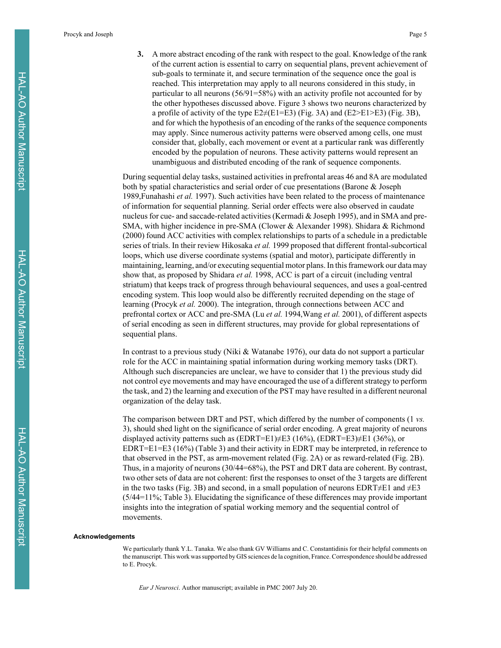Procyk and Joseph Page 5

**3.** A more abstract encoding of the rank with respect to the goal. Knowledge of the rank of the current action is essential to carry on sequential plans, prevent achievement of sub-goals to terminate it, and secure termination of the sequence once the goal is reached. This interpretation may apply to all neurons considered in this study, in particular to all neurons (56/91=58%) with an activity profile not accounted for by the other hypotheses discussed above. Figure 3 shows two neurons characterized by a profile of activity of the type  $E2\neq(E1=E3)$  (Fig. 3A) and (E2>E1>E3) (Fig. 3B), and for which the hypothesis of an encoding of the ranks of the sequence components may apply. Since numerous activity patterns were observed among cells, one must consider that, globally, each movement or event at a particular rank was differently encoded by the population of neurons. These activity patterns would represent an unambiguous and distributed encoding of the rank of sequence components.

During sequential delay tasks, sustained activities in prefrontal areas 46 and 8A are modulated both by spatial characteristics and serial order of cue presentations (Barone & Joseph 1989,Funahashi *et al.* 1997). Such activities have been related to the process of maintenance of information for sequential planning. Serial order effects were also observed in caudate nucleus for cue- and saccade-related activities (Kermadi & Joseph 1995), and in SMA and pre-SMA, with higher incidence in pre-SMA (Clower & Alexander 1998). Shidara & Richmond (2000) found ACC activities with complex relationships to parts of a schedule in a predictable series of trials. In their review Hikosaka *et al.* 1999 proposed that different frontal-subcortical loops, which use diverse coordinate systems (spatial and motor), participate differently in maintaining, learning, and/or executing sequential motor plans. In this framework our data may show that, as proposed by Shidara *et al.* 1998, ACC is part of a circuit (including ventral striatum) that keeps track of progress through behavioural sequences, and uses a goal-centred encoding system. This loop would also be differently recruited depending on the stage of learning (Procyk *et al.* 2000). The integration, through connections between ACC and prefrontal cortex or ACC and pre-SMA (Lu *et al.* 1994,Wang *et al.* 2001), of different aspects of serial encoding as seen in different structures, may provide for global representations of sequential plans.

In contrast to a previous study (Niki & Watanabe 1976), our data do not support a particular role for the ACC in maintaining spatial information during working memory tasks (DRT). Although such discrepancies are unclear, we have to consider that 1) the previous study did not control eye movements and may have encouraged the use of a different strategy to perform the task, and 2) the learning and execution of the PST may have resulted in a different neuronal organization of the delay task.

The comparison between DRT and PST, which differed by the number of components (1 *vs.* 3), should shed light on the significance of serial order encoding. A great majority of neurons displayed activity patterns such as  $(EDRT=E1)\neq E3$  (16%),  $(EDRT=E3)\neq E1$  (36%), or EDRT=E1=E3 (16%) (Table 3) and their activity in EDRT may be interpreted, in reference to that observed in the PST, as arm-movement related (Fig. 2A) or as reward-related (Fig. 2B). Thus, in a majority of neurons (30/44=68%), the PST and DRT data are coherent. By contrast, two other sets of data are not coherent: first the responses to onset of the 3 targets are different in the two tasks (Fig. 3B) and second, in a small population of neurons EDRT $\neq$ E1 and  $\neq$ E3 (5/44=11%; Table 3). Elucidating the significance of these differences may provide important insights into the integration of spatial working memory and the sequential control of movements.

#### **Acknowledgements**

We particularly thank Y.L. Tanaka. We also thank GV Williams and C. Constantidinis for their helpful comments on the manuscript. This work was supported by GIS sciences de la cognition, France. Correspondence should be addressed to E. Procyk.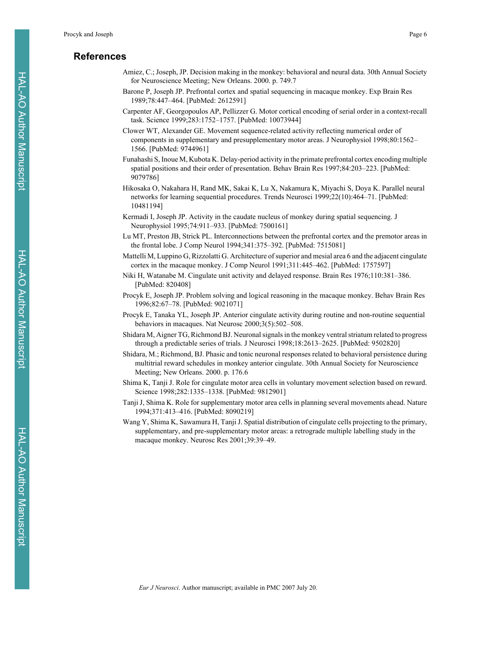# **References**

- Amiez, C.; Joseph, JP. Decision making in the monkey: behavioral and neural data. 30th Annual Society for Neuroscience Meeting; New Orleans. 2000. p. 749.7
- Barone P, Joseph JP. Prefrontal cortex and spatial sequencing in macaque monkey. Exp Brain Res 1989;78:447–464. [PubMed: 2612591]
- Carpenter AF, Georgopoulos AP, Pellizzer G. Motor cortical encoding of serial order in a context-recall task. Science 1999;283:1752–1757. [PubMed: 10073944]
- Clower WT, Alexander GE. Movement sequence-related activity reflecting numerical order of components in supplementary and presupplementary motor areas. J Neurophysiol 1998;80:1562– 1566. [PubMed: 9744961]
- Funahashi S, Inoue M, Kubota K. Delay-period activity in the primate prefrontal cortex encoding multiple spatial positions and their order of presentation. Behav Brain Res 1997;84:203–223. [PubMed: 9079786]
- Hikosaka O, Nakahara H, Rand MK, Sakai K, Lu X, Nakamura K, Miyachi S, Doya K. Parallel neural networks for learning sequential procedures. Trends Neurosci 1999;22(10):464–71. [PubMed: 10481194]
- Kermadi I, Joseph JP. Activity in the caudate nucleus of monkey during spatial sequencing. J Neurophysiol 1995;74:911–933. [PubMed: 7500161]
- Lu MT, Preston JB, Strick PL. Interconnections between the prefrontal cortex and the premotor areas in the frontal lobe. J Comp Neurol 1994;341:375–392. [PubMed: 7515081]
- Mattelli M, Luppino G, Rizzolatti G. Architecture of superior and mesial area 6 and the adjacent cingulate cortex in the macaque monkey. J Comp Neurol 1991;311:445–462. [PubMed: 1757597]
- Niki H, Watanabe M. Cingulate unit activity and delayed response. Brain Res 1976;110:381–386. [PubMed: 820408]
- Procyk E, Joseph JP. Problem solving and logical reasoning in the macaque monkey. Behav Brain Res 1996;82:67–78. [PubMed: 9021071]
- Procyk E, Tanaka YL, Joseph JP. Anterior cingulate activity during routine and non-routine sequential behaviors in macaques. Nat Neurosc 2000;3(5):502–508.
- Shidara M, Aigner TG, Richmond BJ. Neuronal signals in the monkey ventral striatum related to progress through a predictable series of trials. J Neurosci 1998;18:2613–2625. [PubMed: 9502820]
- Shidara, M.; Richmond, BJ. Phasic and tonic neuronal responses related to behavioral persistence during multitrial reward schedules in monkey anterior cingulate. 30th Annual Society for Neuroscience Meeting; New Orleans. 2000. p. 176.6
- Shima K, Tanji J. Role for cingulate motor area cells in voluntary movement selection based on reward. Science 1998;282:1335–1338. [PubMed: 9812901]
- Tanji J, Shima K. Role for supplementary motor area cells in planning several movements ahead. Nature 1994;371:413–416. [PubMed: 8090219]
- Wang Y, Shima K, Sawamura H, Tanji J. Spatial distribution of cingulate cells projecting to the primary, supplementary, and pre-supplementary motor areas: a retrograde multiple labelling study in the macaque monkey. Neurosc Res 2001;39:39–49.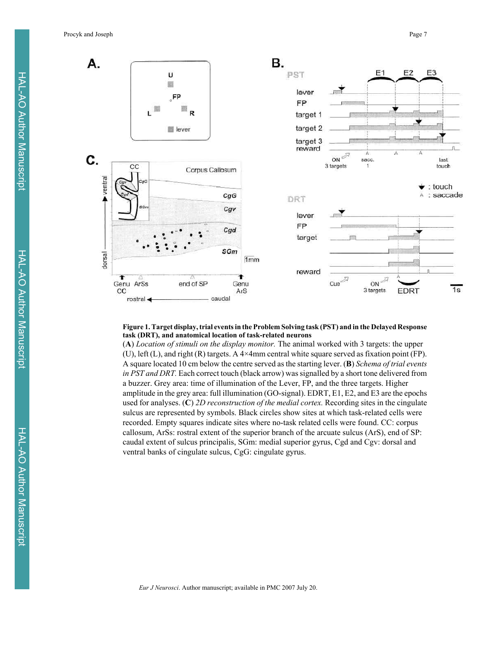

#### **Figure 1. Target display, trial events in the Problem Solving task (PST) and in the Delayed Response task (DRT), and anatomical location of task-related neurons**

(**A**) *Location of stimuli on the display monitor.* The animal worked with 3 targets: the upper (U), left (L), and right (R) targets. A 4×4mm central white square served as fixation point (FP). A square located 10 cm below the centre served as the starting lever. (**B**) *Schema of trial events in PST and DRT.* Each correct touch (black arrow) was signalled by a short tone delivered from a buzzer. Grey area: time of illumination of the Lever, FP, and the three targets. Higher amplitude in the grey area: full illumination (GO-signal). EDRT, E1, E2, and E3 are the epochs used for analyses. (**C**) *2D reconstruction of the medial cortex.* Recording sites in the cingulate sulcus are represented by symbols. Black circles show sites at which task-related cells were recorded. Empty squares indicate sites where no-task related cells were found. CC: corpus callosum, ArSs: rostral extent of the superior branch of the arcuate sulcus (ArS), end of SP: caudal extent of sulcus principalis, SGm: medial superior gyrus, Cgd and Cgv: dorsal and ventral banks of cingulate sulcus, CgG: cingulate gyrus.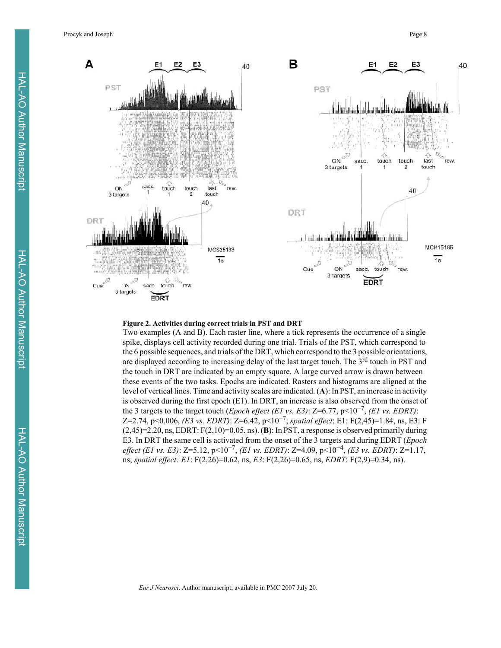Procyk and Joseph Page 8



#### **Figure 2. Activities during correct trials in PST and DRT**

Two examples (A and B). Each raster line, where a tick represents the occurrence of a single spike, displays cell activity recorded during one trial. Trials of the PST, which correspond to the 6 possible sequences, and trials of the DRT, which correspond to the 3 possible orientations, are displayed according to increasing delay of the last target touch. The 3<sup>rd</sup> touch in PST and the touch in DRT are indicated by an empty square. A large curved arrow is drawn between these events of the two tasks. Epochs are indicated. Rasters and histograms are aligned at the level of vertical lines. Time and activity scales are indicated. (**A**): In PST, an increase in activity is observed during the first epoch (E1). In DRT, an increase is also observed from the onset of the 3 targets to the target touch (*Epoch effect (E1 vs. E3)*: Z=6.77, p<10<sup>-7</sup>, *(E1 vs. EDRT)*: Z=2.74, p<0.006, *(E3 vs. EDRT)*: Z=6.42, p<10<sup>-7</sup>; *spatial effect*: E1: F(2,45)=1.84, ns, E3: F (2,45)=2.20, ns, EDRT: F(2,10)=0.05, ns). (**B**): In PST, a response is observed primarily during E3. In DRT the same cell is activated from the onset of the 3 targets and during EDRT (*Epoch effect (E1 vs. E3)*: Z=5.12, p<10<sup>-7</sup>, *(E1 vs. EDRT)*: Z=4.09, p<10<sup>-4</sup>, *(E3 vs. EDRT)*: Z=1.17, ns; *spatial effect: E1*: F(2,26)=0.62, ns, *E3*: F(2,26)=0.65, ns, *EDRT*: F(2,9)=0.34, ns).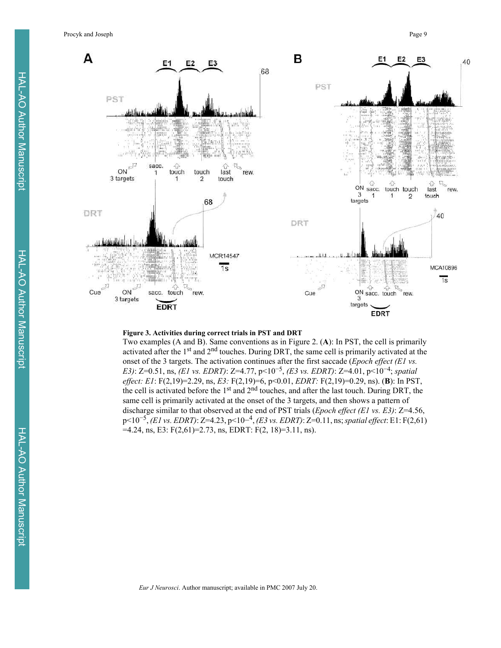Procyk and Joseph Page 9



#### **Figure 3. Activities during correct trials in PST and DRT**

Two examples (A and B). Same conventions as in Figure 2. (**A**): In PST, the cell is primarily activated after the 1st and 2nd touches. During DRT, the same cell is primarily activated at the onset of the 3 targets. The activation continues after the first saccade (*Epoch effect (E1 vs. E3*): Z=0.51, ns, *(E1 vs. EDRT)*: Z=4.77, p<10<sup>-5</sup>, *(E3 vs. EDRT)*: Z=4.01, p<10<sup>-4</sup>; *spatial effect: E1*: F(2,19)=2.29, ns, *E3:* F(2,19)=6, p<0.01, *EDRT:* F(2,19)=0.29, ns). (**B**): In PST, the cell is activated before the 1st and 2nd touches, and after the last touch. During DRT, the same cell is primarily activated at the onset of the 3 targets, and then shows a pattern of discharge similar to that observed at the end of PST trials (*Epoch effect (E1 vs. E3)*: Z=4.56, p<10!5, *(E1 vs. EDRT)*: Z=4.23, p<10!4, *(E3 vs. EDRT)*: Z=0.11, ns; *spatial effect*: E1: F(2,61)  $=4.24$ , ns, E3: F(2,61)=2.73, ns, EDRT: F(2, 18)=3.11, ns).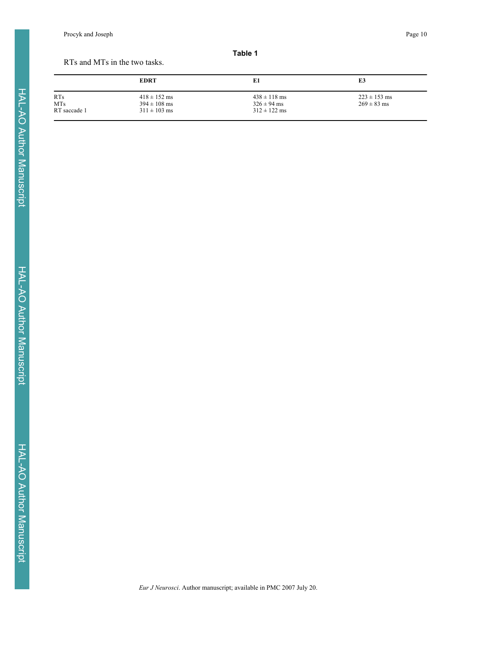Procyk and Joseph Page 10

#### **Table 1**

#### RTs and MTs in the two tasks.

|                          | <b>EDRT</b>                          | E1                                  | E3                                  |
|--------------------------|--------------------------------------|-------------------------------------|-------------------------------------|
| <b>RTs</b><br><b>MTs</b> | $418 \pm 152$ ms<br>$394 \pm 108$ ms | $438 \pm 118$ ms<br>$326 \pm 94$ ms | $223 \pm 153$ ms<br>$269 \pm 83$ ms |
| RT saccade 1             | $311 \pm 103$ ms                     | $312 \pm 122$ ms                    |                                     |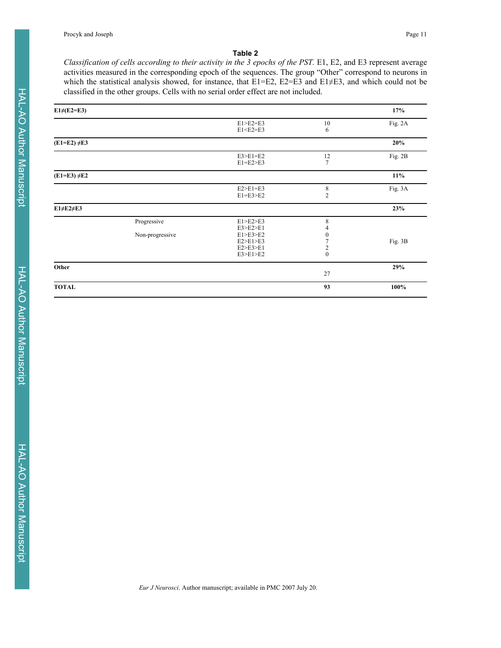#### **Table 2**

*Classification of cells according to their activity in the 3 epochs of the PST.* E1, E2, and E3 represent average activities measured in the corresponding epoch of the sequences. The group "Other" correspond to neurons in which the statistical analysis showed, for instance, that E1=E2, E2=E3 and E1 $\neq$ E3, and which could not be classified in the other groups. Cells with no serial order effect are not included.

| $E1\neq$ (E2=E3)  |                                |                                                                      |                                                          | 17%     |
|-------------------|--------------------------------|----------------------------------------------------------------------|----------------------------------------------------------|---------|
|                   |                                | $E1 > E2 = E3$<br>$E1 < E2 = E3$                                     | 10<br>6                                                  | Fig. 2A |
| $(E1=E2) \neq E3$ |                                |                                                                      |                                                          | 20%     |
|                   |                                | $E3>E1=E2$<br>$E1=E2>E3$                                             | 12<br>$\overline{7}$                                     | Fig. 2B |
| $(E1=E3) \neq E2$ |                                |                                                                      |                                                          | $11\%$  |
|                   |                                | $E2>E1=E3$<br>$E1 = E3 > E2$                                         | $\,$ 8 $\,$<br>$\overline{2}$                            | Fig. 3A |
| E1≠E2≠E3          |                                |                                                                      |                                                          | 23%     |
|                   | Progressive<br>Non-progressive | E1>E2>E3<br>E3>E2>E1<br>E1>E3>E2<br>E2>E1>E3<br>E2>E3>E1<br>E3>E1>E2 | 8<br>$\bf{0}$<br>$\overline{\mathbf{c}}$<br>$\mathbf{0}$ | Fig. 3B |
| Other             |                                |                                                                      | 27                                                       | 29%     |
| <b>TOTAL</b>      |                                |                                                                      | 93                                                       | 100%    |